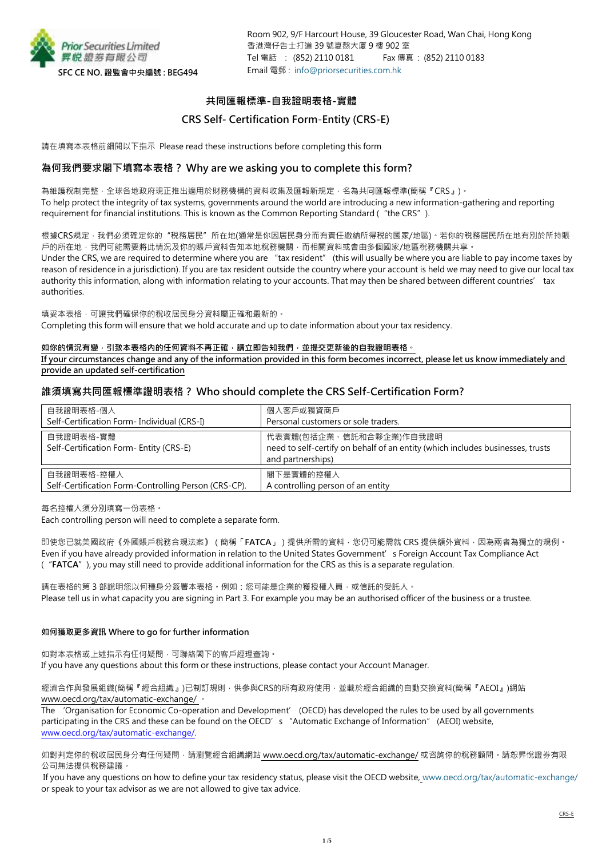

# **共同匯報標準-自我證明表格-實體**

# **CRS Self- Certification Form**-**Entity (CRS-E)**

請在填寫本表格前細閱以下指示 Please read these instructions before completing this form

# **為何我們要求閣下填寫本表格? Why are we asking you to complete this form?**

為維護稅制完整,全球各地政府現正推出適用於財務機構的資料收集及匯報新規定,名為共同匯報標準(簡稱『CRS』)。 To help protect the integrity of tax systems, governments around the world are introducing a new information-gathering and reporting requirement for financial institutions. This is known as the Common Reporting Standard ("the CRS").

根據CRS規定,我們必須確定你的"稅務居民"所在地(通常是你因居民身分而有責任繳納所得稅的國家/地區)。若你的稅務居民所在地有別於所持賬 戶的所在地,我們可能需要將此情況及你的賬戶資料告知本地稅務機關,而相關資料或會由多個國家/地區稅務機關共享。 Under the CRS, we are required to determine where you are "tax resident" (this will usually be where you are liable to pay income taxes by reason of residence in a jurisdiction). If you are tax resident outside the country where your account is held we may need to give our local tax authority this information, along with information relating to your accounts. That may then be shared between different countries' tax authorities.

填妥本表格,可讓我們確保你的稅收居民身分資料屬正確和最新的。 Completing this form will ensure that we hold accurate and up to date information about your tax residency.

### 如你的情況有變,引致本表格內的任何資料不再正確,請立即告知我們,並提交更新後的自我證明表格。

**If your circumstances change and any of the information provided in this form becomes incorrect, please let us know immediately and provide an updated self-certification**

# **誰須填寫共同匯報標準證明表格? Who should complete the CRS Self-Certification Form?**

| 自我證明表格-個人                                                          | 個人客戶或獨資商戶                                                                                                                      |  |
|--------------------------------------------------------------------|--------------------------------------------------------------------------------------------------------------------------------|--|
| Self-Certification Form- Individual (CRS-I)                        | Personal customers or sole traders.                                                                                            |  |
| 自我證明表格-實體<br>Self-Certification Form- Entity (CRS-E)               | 代表實體(包括企業、信託和合夥企業)作自我證明<br>need to self-certify on behalf of an entity (which includes businesses, trusts<br>and partnerships) |  |
| 自我證明表格-控權人<br>Self-Certification Form-Controlling Person (CRS-CP). | 閣下是實體的控權人<br>A controlling person of an entity                                                                                 |  |

每名控權人須分別填寫一份表格。

Each controlling person will need to complete a separate form.

即使您已就美國政府《外國賬戶稅務合規法案》(簡稱「**FATCA**」)提供所需的資料,您仍可能需就 CRS 提供額外資料,因為兩者為獨立的規例。 Even if you have already provided information in relation to the United States Government's Foreign Account Tax Compliance Act ("**FATCA**"), you may still need to provide additional information for the CRS as this is a separate regulation.

請在表格的第 3 部說明您以何種身分簽署本表格。例如:您可能是企業的獲授權人員,或信託的受託人。 Please tell us in what capacity you are signing in Part 3. For example you may be an authorised officer of the business or a trustee.

### **如何獲取更多資訊 Where to go for further information**

如對本表格或上述指示有任何疑問,可聯絡閣下的客戶經理查詢。 If you have any questions about this form or these instructions, please contact your Account Manager.

經濟合作與發展組織(簡稱『經合組織』)已制訂規則,供參與CRS的所有政府使用,並載於經合組織的自動交換資料(簡稱『AEOI』)網站 www.oecd.org/tax/automatic-exchange/ 。

The 'Organisation for Economic Co-operation and Development' (OECD) has developed the rules to be used by all governments participating in the CRS and these can be found on the OECD's "Automatic Exchange of Information" (AEOI) website, [www.oecd.org/tax/automatic-exchange/.](http://www.oecd.org/tax/automatic-exchange/)

如對判定你的稅收居民身分有任何疑問,請瀏覽經合組織網站 www.oecd.org/tax/automatic-exchange/ 或咨詢你的稅務顧問。請恕昇悅證券有限 公司無法提供稅務建議。

If you have any questions on how to define your tax residency status, please visit the OECD website, [www.oecd.org/tax/automatic-exchange/](http://www.oecd.org/tax/automatic-exchange/) or speak to your tax advisor as we are not allowed to give tax advice.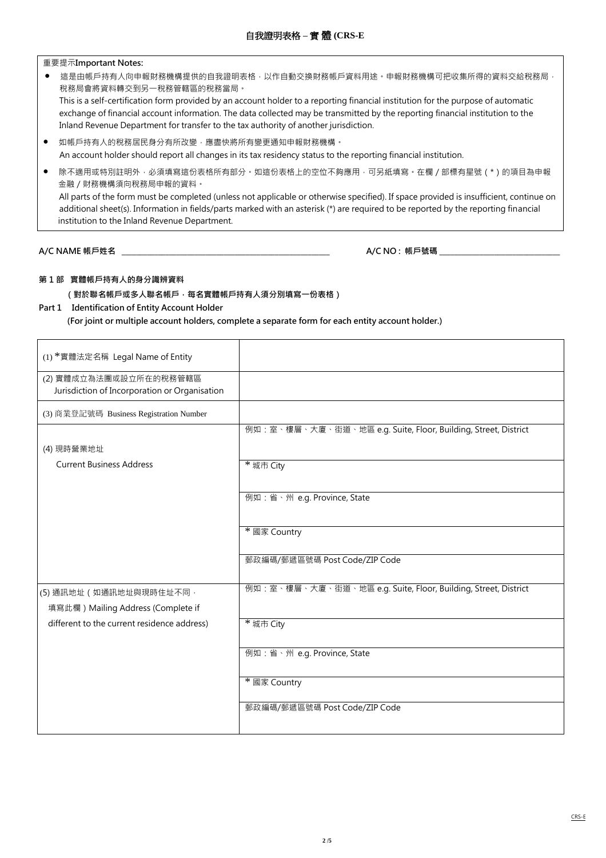重要提示**Important Notes:**

- 這是由帳戶持有人向申報財務機構提供的自我證明表格,以作自動交換財務帳戶資料用途。申報財務機構可把收集所得的資料交給稅務局, 稅務局會將資料轉交到另一稅務管轄區的稅務當局。 This is a self-certification form provided by an account holder to a reporting financial institution for the purpose of automatic exchange of financial account information. The data collected may be transmitted by the reporting financial institution to the Inland Revenue Department for transfer to the tax authority of another jurisdiction.
- 如帳戶持有人的稅務居民身分有所改變,應盡快將所有變更通知申報財務機構。 An account holder should report all changes in its tax residency status to the reporting financial institution.
- 除不適用或特別註明外,必須填寫這份表格所有部分。如這份表格上的空位不夠應用,可另紙填寫。在欄 / 部標有星號 ( \* ) 的項目為申報 金融/財務機構須向稅務局申報的資料。 All parts of the form must be completed (unless not applicable or otherwise specified). If space provided is insufficient, continue on additional sheet(s). Information in fields/parts marked with an asterisk (\*) are required to be reported by the reporting financial institution to the Inland Revenue Department.

**A/C NAME 帳戶姓名 \_\_\_\_\_\_\_\_\_\_\_\_\_\_\_\_\_\_\_\_\_\_\_\_\_\_\_\_\_\_\_\_\_\_\_\_\_\_\_\_\_\_\_\_\_\_\_\_\_\_\_\_\_\_\_\_\_ A/C NO : 帳戶號碼** \_\_\_\_\_\_\_\_\_\_\_\_\_\_\_\_\_\_\_\_\_\_\_\_\_\_\_\_\_\_\_\_\_

### **第 1 部 實體帳戶持有人的身分識辨資料**

 **(對於聯名帳戶或多人聯名帳戶,每名實體帳戶持有人須分別填寫一份表格)**

**Part 1 Identification of Entity Account Holder**

 **(For joint or multiple account holders, complete a separate form for each entity account holder.)**

| (1) *實體法定名稱 Legal Name of Entity                                        |                                                                |
|-------------------------------------------------------------------------|----------------------------------------------------------------|
| (2) 實體成立為法團或設立所在的稅務管轄區<br>Jurisdiction of Incorporation or Organisation |                                                                |
| (3) 商業登記號碼 Business Registration Number                                 |                                                                |
| (4) 現時營業地址                                                              | 例如:室、樓層、大廈、街道、地區 e.g. Suite, Floor, Building, Street, District |
| <b>Current Business Address</b>                                         | * 城市 City                                                      |
|                                                                         | 例如:省、州 e.g. Province, State                                    |
|                                                                         | * 國家 Country                                                   |
|                                                                         | 郵政編碼/郵遞區號碼 Post Code/ZIP Code                                  |
| (5) 通訊地址 (如通訊地址與現時住址不同,<br>填寫此欄) Mailing Address (Complete if           | 例如:室、樓層、大廈、街道、地區 e.g. Suite, Floor, Building, Street, District |
| different to the current residence address)                             | * 城市 City                                                      |
|                                                                         | 例如:省、州 e.g. Province, State                                    |
|                                                                         | * 國家 Country                                                   |
|                                                                         | 郵政編碼/郵遞區號碼 Post Code/ZIP Code                                  |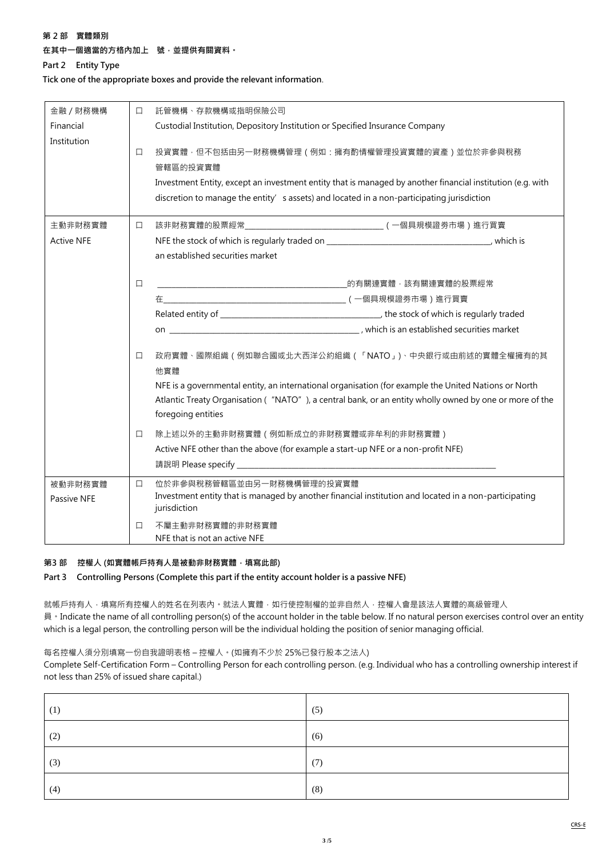### **第 2 部 實體類別**

# **在其中一個適當的方格內加上 號,並提供有關資料。**

**Part 2 Entity Type**

**Tick one of the appropriate boxes and provide the relevant information**.

| 金融 / 財務機構         | □      | 託管機構、存款機構或指明保險公司                                                                                                                                                                                                                                                        |  |
|-------------------|--------|-------------------------------------------------------------------------------------------------------------------------------------------------------------------------------------------------------------------------------------------------------------------------|--|
| Financial         |        | Custodial Institution, Depository Institution or Specified Insurance Company                                                                                                                                                                                            |  |
| Institution       | 口      | 投資實體·但不包括由另一財務機構管理 (例如:擁有酌情權管理投資實體的資產 ) 並位於非參與稅務<br>管轄區的投資實體<br>Investment Entity, except an investment entity that is managed by another financial institution (e.g. with<br>discretion to manage the entity's assets) and located in a non-participating jurisdiction |  |
| 主動非財務實體           | $\Box$ |                                                                                                                                                                                                                                                                         |  |
| <b>Active NFE</b> |        |                                                                                                                                                                                                                                                                         |  |
|                   |        | an established securities market                                                                                                                                                                                                                                        |  |
|                   | $\Box$ |                                                                                                                                                                                                                                                                         |  |
|                   |        |                                                                                                                                                                                                                                                                         |  |
|                   |        |                                                                                                                                                                                                                                                                         |  |
|                   |        |                                                                                                                                                                                                                                                                         |  |
|                   | $\Box$ | 政府實體、國際組織(例如聯合國或北大西洋公約組織(「NATO」)、中央銀行或由前述的實體全權擁有的其<br>他實體                                                                                                                                                                                                               |  |
|                   |        | NFE is a governmental entity, an international organisation (for example the United Nations or North                                                                                                                                                                    |  |
|                   |        | Atlantic Treaty Organisation ("NATO"), a central bank, or an entity wholly owned by one or more of the<br>foregoing entities                                                                                                                                            |  |
|                   | $\Box$ | 除上述以外的主動非財務實體 (例如新成立的非財務實體或非牟利的非財務實體)                                                                                                                                                                                                                                   |  |
|                   |        | Active NFE other than the above (for example a start-up NFE or a non-profit NFE)                                                                                                                                                                                        |  |
|                   |        |                                                                                                                                                                                                                                                                         |  |
| 被動非財務實體           | $\Box$ | 位於非參與稅務管轄區並由另一財務機構管理的投資實體                                                                                                                                                                                                                                               |  |
| Passive NFE       |        | Investment entity that is managed by another financial institution and located in a non-participating<br>jurisdiction                                                                                                                                                   |  |
|                   | □      | 不屬主動非財務實體的非財務實體<br>NFE that is not an active NFE                                                                                                                                                                                                                        |  |

### **第3 部 控權人 (如實體帳戶持有人是被動非財務實體,填寫此部)**

**Part 3 Controlling Persons (Complete this part if the entity account holder is a passive NFE)** 

就帳戶持有人,填寫所有控權人的姓名在列表內。就法人實體,如行使控制權的並非自然人,控權人會是該法人實體的高級管理人 員。Indicate the name of all controlling person(s) of the account holder in the table below. If no natural person exercises control over an entity which is a legal person, the controlling person will be the individual holding the position of senior managing official.

每名控權人須分別填寫一份自我證明表格 – 控權人。(如擁有不少於 25%已發行股本之法人)

Complete Self-Certification Form – Controlling Person for each controlling person. (e.g. Individual who has a controlling ownership interest if not less than 25% of issued share capital.)

| (1) | (5) |
|-----|-----|
| (2) | (6) |
| (3) | (7) |
| (4) | (8) |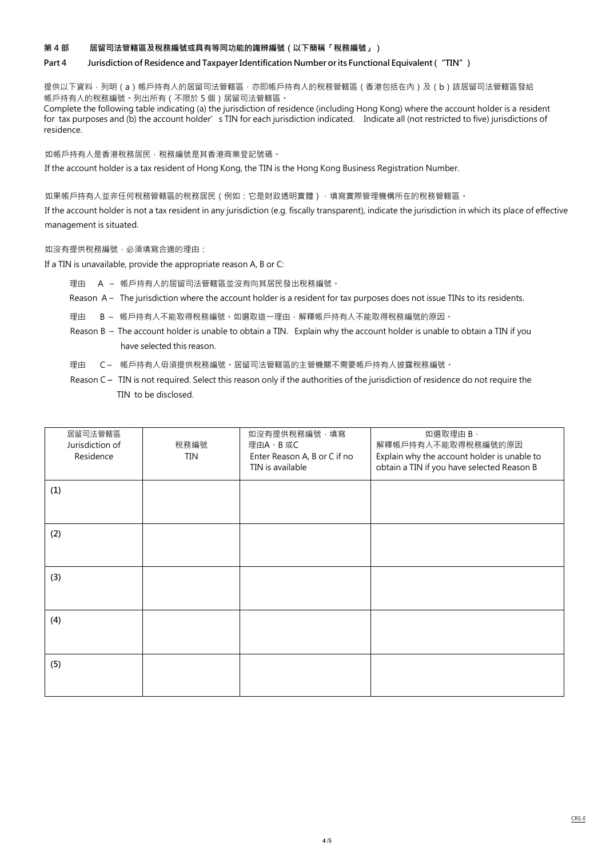#### **第 4 部 居留司法管轄區及稅務編號或具有等同功能的識辨編號(以下簡稱「稅務編號」)**

#### **Part 4 Jurisdiction of Residence and TaxpayerIdentification Number orits Functional Equivalent ("TIN")**

提供以下資料,列明(a)帳戶持有人的居留司法管轄區,亦即帳戶持有人的稅務管轄區(香港包括在內)及(b)該居留司法管轄區發給 帳戶持有人的稅務編號。列出所有(不限於 5 個)居留司法管轄區。

Complete the following table indicating (a) the jurisdiction of residence (including Hong Kong) where the account holder is a resident for tax purposes and (b) the account holder's TIN for each jurisdiction indicated. Indicate all (not restricted to five) jurisdictions of residence.

如帳戶持有人是香港稅務居民,稅務編號是其香港商業登記號碼。

If the account holder is a tax resident of Hong Kong, the TIN is the Hong Kong Business Registration Number.

如果帳戶持有人並非任何稅務管轄區的稅務居民 ( 例如: 它是財政透明實體 ) ·填寫實際管理機構所在的稅務管轄區 ·

If the account holder is not a tax resident in any jurisdiction (e.g. fiscally transparent), indicate the jurisdiction in which its place of effective management is situated.

如沒有提供稅務編號,必須填寫合適的理由:

If a TIN is unavailable, provide the appropriate reason A, B or C:

- 理由 A 帳戶持有人的居留司法管轄區並沒有向其居民發出稅務編號。
- Reason A The jurisdiction where the account holder is a resident for tax purposes does not issue TINs to its residents.
- 理由 B 帳戶持有人不能取得稅務編號。如選取這一理由,解釋帳戶持有人不能取得稅務編號的原因。
- Reason B The account holder is unable to obtain a TIN. Explain why the account holder is unable to obtain a TIN if you have selected this reason.
- 理由 C 帳戶持有人毋須提供稅務編號。居留司法管轄區的主管機關不需要帳戶持有人披露稅務編號。
- Reason C **–** TIN is not required. Select this reason only if the authorities of the jurisdiction of residence do not require the TIN to be disclosed.

| 居留司法管轄區         |            | 如沒有提供稅務編號 · 填寫               | 如選取理由 B,                                    |
|-----------------|------------|------------------------------|---------------------------------------------|
| Jurisdiction of | 稅務編號       | 理由A、B 或C                     | 解釋帳戶持有人不能取得稅務編號的原因                          |
| Residence       | <b>TIN</b> | Enter Reason A, B or C if no | Explain why the account holder is unable to |
|                 |            | TIN is available             | obtain a TIN if you have selected Reason B  |
| (1)             |            |                              |                                             |
|                 |            |                              |                                             |
| (2)             |            |                              |                                             |
|                 |            |                              |                                             |
| (3)             |            |                              |                                             |
|                 |            |                              |                                             |
| (4)             |            |                              |                                             |
|                 |            |                              |                                             |
| (5)             |            |                              |                                             |
|                 |            |                              |                                             |